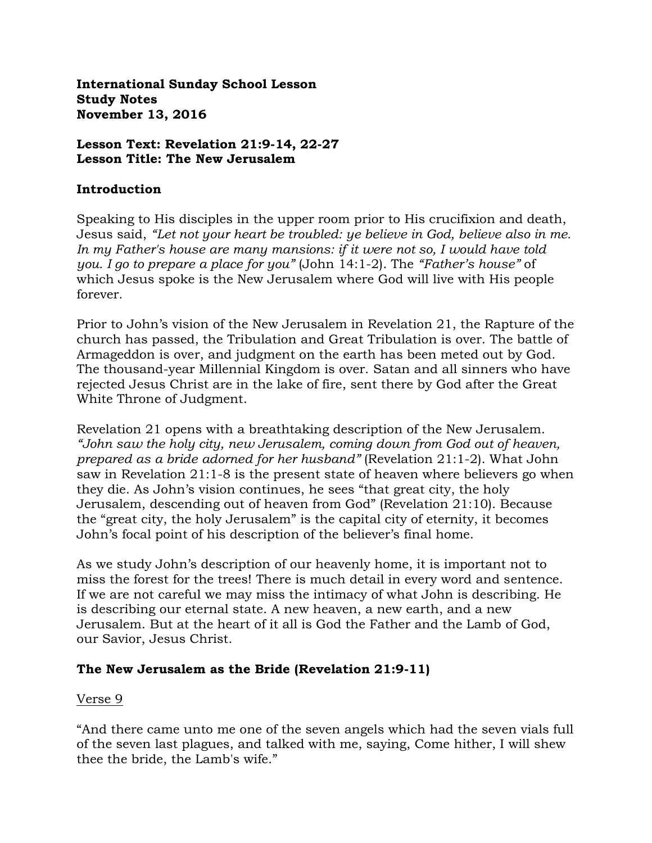**International Sunday School Lesson Study Notes November 13, 2016**

#### **Lesson Text: Revelation 21:9-14, 22-27 Lesson Title: The New Jerusalem**

#### **Introduction**

Speaking to His disciples in the upper room prior to His crucifixion and death, Jesus said, *"Let not your heart be troubled: ye believe in God, believe also in me. In my Father's house are many mansions: if it were not so, I would have told you. I go to prepare a place for you"* (John 14:1-2). The *"Father's house"* of which Jesus spoke is the New Jerusalem where God will live with His people forever.

Prior to John's vision of the New Jerusalem in Revelation 21, the Rapture of the church has passed, the Tribulation and Great Tribulation is over. The battle of Armageddon is over, and judgment on the earth has been meted out by God. The thousand-year Millennial Kingdom is over. Satan and all sinners who have rejected Jesus Christ are in the lake of fire, sent there by God after the Great White Throne of Judgment.

Revelation 21 opens with a breathtaking description of the New Jerusalem. *"John saw the holy city, new Jerusalem, coming down from God out of heaven, prepared as a bride adorned for her husband"* (Revelation 21:1-2). What John saw in Revelation 21:1-8 is the present state of heaven where believers go when they die. As John's vision continues, he sees "that great city, the holy Jerusalem, descending out of heaven from God" (Revelation 21:10). Because the "great city, the holy Jerusalem" is the capital city of eternity, it becomes John's focal point of his description of the believer's final home.

As we study John's description of our heavenly home, it is important not to miss the forest for the trees! There is much detail in every word and sentence. If we are not careful we may miss the intimacy of what John is describing. He is describing our eternal state. A new heaven, a new earth, and a new Jerusalem. But at the heart of it all is God the Father and the Lamb of God, our Savior, Jesus Christ.

### **The New Jerusalem as the Bride (Revelation 21:9-11)**

#### Verse 9

"And there came unto me one of the seven angels which had the seven vials full of the seven last plagues, and talked with me, saying, Come hither, I will shew thee the bride, the Lamb's wife."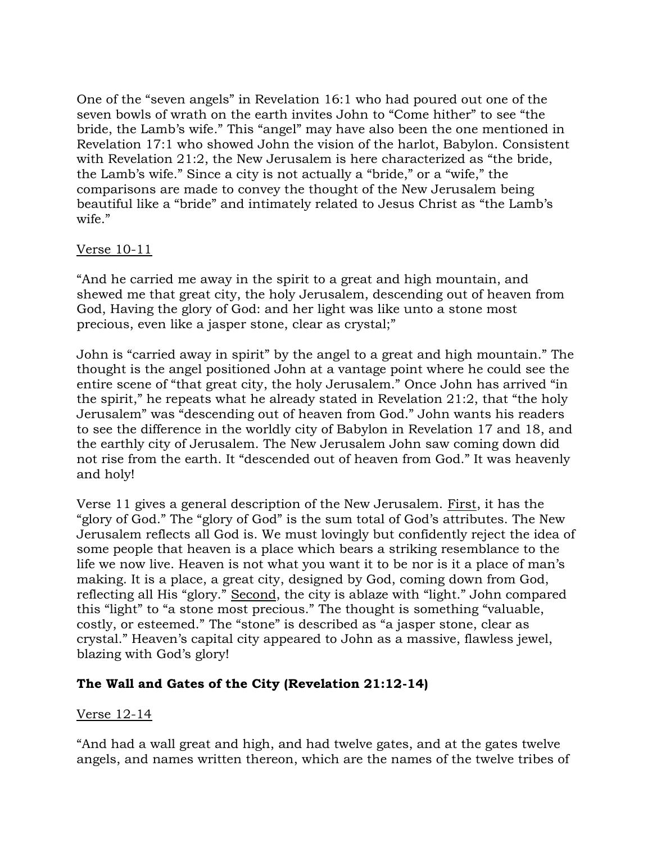One of the "seven angels" in Revelation 16:1 who had poured out one of the seven bowls of wrath on the earth invites John to "Come hither" to see "the bride, the Lamb's wife." This "angel" may have also been the one mentioned in Revelation 17:1 who showed John the vision of the harlot, Babylon. Consistent with Revelation 21:2, the New Jerusalem is here characterized as "the bride, the Lamb's wife." Since a city is not actually a "bride," or a "wife," the comparisons are made to convey the thought of the New Jerusalem being beautiful like a "bride" and intimately related to Jesus Christ as "the Lamb's wife."

### Verse 10-11

"And he carried me away in the spirit to a great and high mountain, and shewed me that great city, the holy Jerusalem, descending out of heaven from God, Having the glory of God: and her light was like unto a stone most precious, even like a jasper stone, clear as crystal;"

John is "carried away in spirit" by the angel to a great and high mountain." The thought is the angel positioned John at a vantage point where he could see the entire scene of "that great city, the holy Jerusalem." Once John has arrived "in the spirit," he repeats what he already stated in Revelation 21:2, that "the holy Jerusalem" was "descending out of heaven from God." John wants his readers to see the difference in the worldly city of Babylon in Revelation 17 and 18, and the earthly city of Jerusalem. The New Jerusalem John saw coming down did not rise from the earth. It "descended out of heaven from God." It was heavenly and holy!

Verse 11 gives a general description of the New Jerusalem. First, it has the "glory of God." The "glory of God" is the sum total of God's attributes. The New Jerusalem reflects all God is. We must lovingly but confidently reject the idea of some people that heaven is a place which bears a striking resemblance to the life we now live. Heaven is not what you want it to be nor is it a place of man's making. It is a place, a great city, designed by God, coming down from God, reflecting all His "glory." Second, the city is ablaze with "light." John compared this "light" to "a stone most precious." The thought is something "valuable, costly, or esteemed." The "stone" is described as "a jasper stone, clear as crystal." Heaven's capital city appeared to John as a massive, flawless jewel, blazing with God's glory!

### **The Wall and Gates of the City (Revelation 21:12-14)**

#### Verse 12-14

"And had a wall great and high, and had twelve gates, and at the gates twelve angels, and names written thereon, which are the names of the twelve tribes of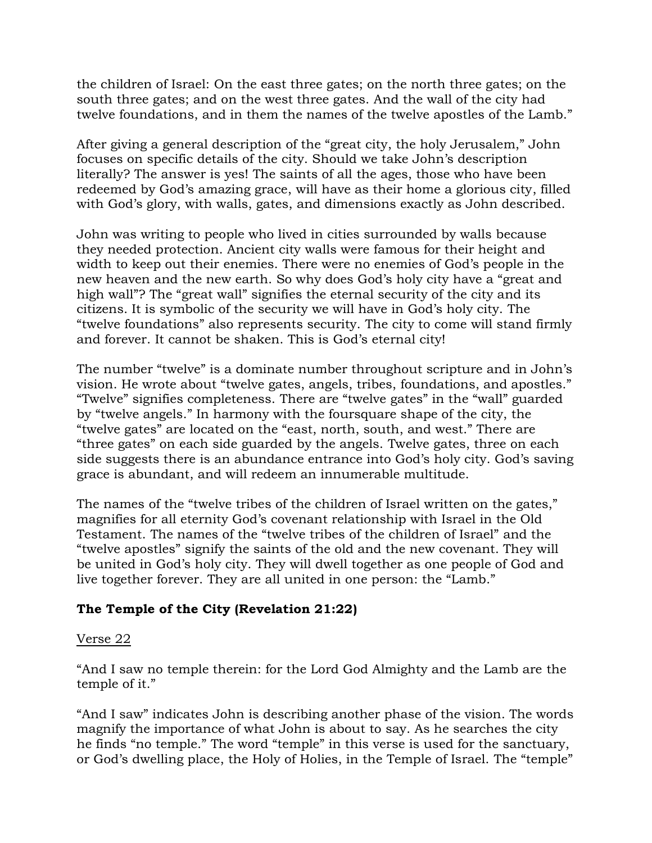the children of Israel: On the east three gates; on the north three gates; on the south three gates; and on the west three gates. And the wall of the city had twelve foundations, and in them the names of the twelve apostles of the Lamb."

After giving a general description of the "great city, the holy Jerusalem," John focuses on specific details of the city. Should we take John's description literally? The answer is yes! The saints of all the ages, those who have been redeemed by God's amazing grace, will have as their home a glorious city, filled with God's glory, with walls, gates, and dimensions exactly as John described.

John was writing to people who lived in cities surrounded by walls because they needed protection. Ancient city walls were famous for their height and width to keep out their enemies. There were no enemies of God's people in the new heaven and the new earth. So why does God's holy city have a "great and high wall"? The "great wall" signifies the eternal security of the city and its citizens. It is symbolic of the security we will have in God's holy city. The "twelve foundations" also represents security. The city to come will stand firmly and forever. It cannot be shaken. This is God's eternal city!

The number "twelve" is a dominate number throughout scripture and in John's vision. He wrote about "twelve gates, angels, tribes, foundations, and apostles." "Twelve" signifies completeness. There are "twelve gates" in the "wall" guarded by "twelve angels." In harmony with the foursquare shape of the city, the "twelve gates" are located on the "east, north, south, and west." There are "three gates" on each side guarded by the angels. Twelve gates, three on each side suggests there is an abundance entrance into God's holy city. God's saving grace is abundant, and will redeem an innumerable multitude.

The names of the "twelve tribes of the children of Israel written on the gates," magnifies for all eternity God's covenant relationship with Israel in the Old Testament. The names of the "twelve tribes of the children of Israel" and the "twelve apostles" signify the saints of the old and the new covenant. They will be united in God's holy city. They will dwell together as one people of God and live together forever. They are all united in one person: the "Lamb."

### **The Temple of the City (Revelation 21:22)**

#### Verse 22

"And I saw no temple therein: for the Lord God Almighty and the Lamb are the temple of it."

"And I saw" indicates John is describing another phase of the vision. The words magnify the importance of what John is about to say. As he searches the city he finds "no temple." The word "temple" in this verse is used for the sanctuary, or God's dwelling place, the Holy of Holies, in the Temple of Israel. The "temple"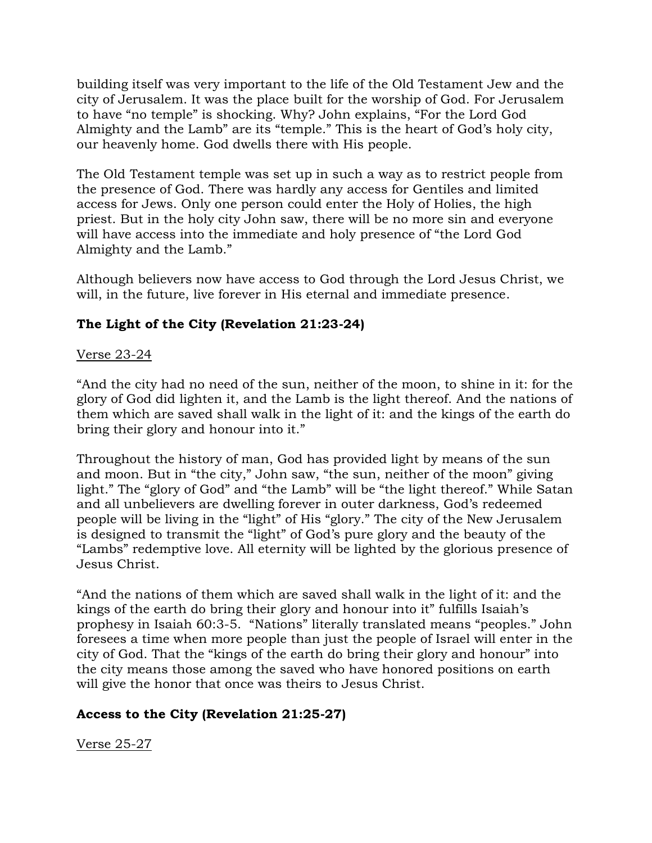building itself was very important to the life of the Old Testament Jew and the city of Jerusalem. It was the place built for the worship of God. For Jerusalem to have "no temple" is shocking. Why? John explains, "For the Lord God Almighty and the Lamb" are its "temple." This is the heart of God's holy city, our heavenly home. God dwells there with His people.

The Old Testament temple was set up in such a way as to restrict people from the presence of God. There was hardly any access for Gentiles and limited access for Jews. Only one person could enter the Holy of Holies, the high priest. But in the holy city John saw, there will be no more sin and everyone will have access into the immediate and holy presence of "the Lord God Almighty and the Lamb."

Although believers now have access to God through the Lord Jesus Christ, we will, in the future, live forever in His eternal and immediate presence.

# **The Light of the City (Revelation 21:23-24)**

## Verse 23-24

"And the city had no need of the sun, neither of the moon, to shine in it: for the glory of God did lighten it, and the Lamb is the light thereof. And the nations of them which are saved shall walk in the light of it: and the kings of the earth do bring their glory and honour into it."

Throughout the history of man, God has provided light by means of the sun and moon. But in "the city," John saw, "the sun, neither of the moon" giving light." The "glory of God" and "the Lamb" will be "the light thereof." While Satan and all unbelievers are dwelling forever in outer darkness, God's redeemed people will be living in the "light" of His "glory." The city of the New Jerusalem is designed to transmit the "light" of God's pure glory and the beauty of the "Lambs" redemptive love. All eternity will be lighted by the glorious presence of Jesus Christ.

"And the nations of them which are saved shall walk in the light of it: and the kings of the earth do bring their glory and honour into it" fulfills Isaiah's prophesy in Isaiah 60:3-5. "Nations" literally translated means "peoples." John foresees a time when more people than just the people of Israel will enter in the city of God. That the "kings of the earth do bring their glory and honour" into the city means those among the saved who have honored positions on earth will give the honor that once was theirs to Jesus Christ.

# **Access to the City (Revelation 21:25-27)**

Verse 25-27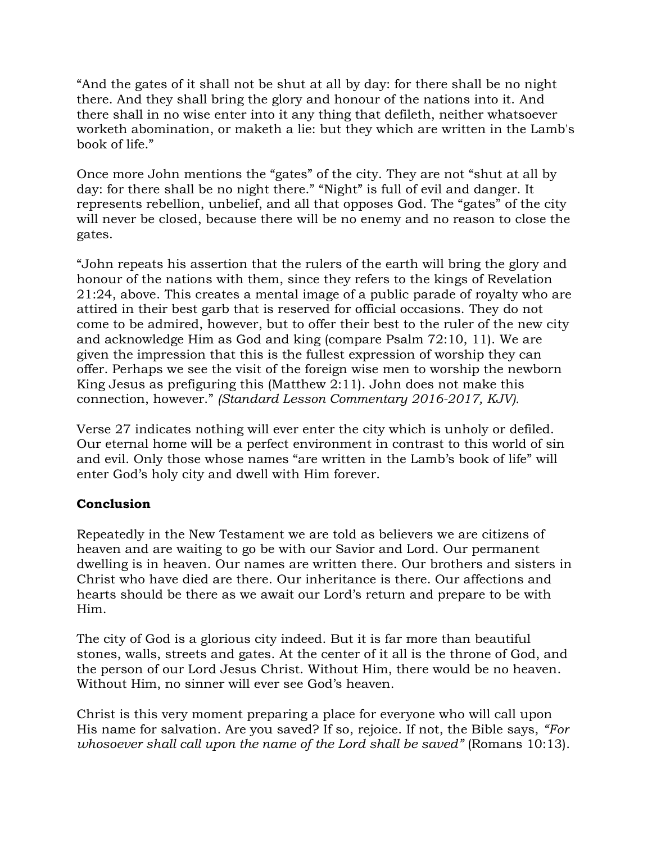"And the gates of it shall not be shut at all by day: for there shall be no night there. And they shall bring the glory and honour of the nations into it. And there shall in no wise enter into it any thing that defileth, neither whatsoever worketh abomination, or maketh a lie: but they which are written in the Lamb's book of life."

Once more John mentions the "gates" of the city. They are not "shut at all by day: for there shall be no night there." "Night" is full of evil and danger. It represents rebellion, unbelief, and all that opposes God. The "gates" of the city will never be closed, because there will be no enemy and no reason to close the gates.

"John repeats his assertion that the rulers of the earth will bring the glory and honour of the nations with them, since they refers to the kings of Revelation 21:24, above. This creates a mental image of a public parade of royalty who are attired in their best garb that is reserved for official occasions. They do not come to be admired, however, but to offer their best to the ruler of the new city and acknowledge Him as God and king (compare Psalm 72:10, 11). We are given the impression that this is the fullest expression of worship they can offer. Perhaps we see the visit of the foreign wise men to worship the newborn King Jesus as prefiguring this (Matthew 2:11). John does not make this connection, however." *(Standard Lesson Commentary 2016-2017, KJV).*

Verse 27 indicates nothing will ever enter the city which is unholy or defiled. Our eternal home will be a perfect environment in contrast to this world of sin and evil. Only those whose names "are written in the Lamb's book of life" will enter God's holy city and dwell with Him forever.

### **Conclusion**

Repeatedly in the New Testament we are told as believers we are citizens of heaven and are waiting to go be with our Savior and Lord. Our permanent dwelling is in heaven. Our names are written there. Our brothers and sisters in Christ who have died are there. Our inheritance is there. Our affections and hearts should be there as we await our Lord's return and prepare to be with Him.

The city of God is a glorious city indeed. But it is far more than beautiful stones, walls, streets and gates. At the center of it all is the throne of God, and the person of our Lord Jesus Christ. Without Him, there would be no heaven. Without Him, no sinner will ever see God's heaven.

Christ is this very moment preparing a place for everyone who will call upon His name for salvation. Are you saved? If so, rejoice. If not, the Bible says, *"For whosoever shall call upon the name of the Lord shall be saved"* (Romans 10:13).